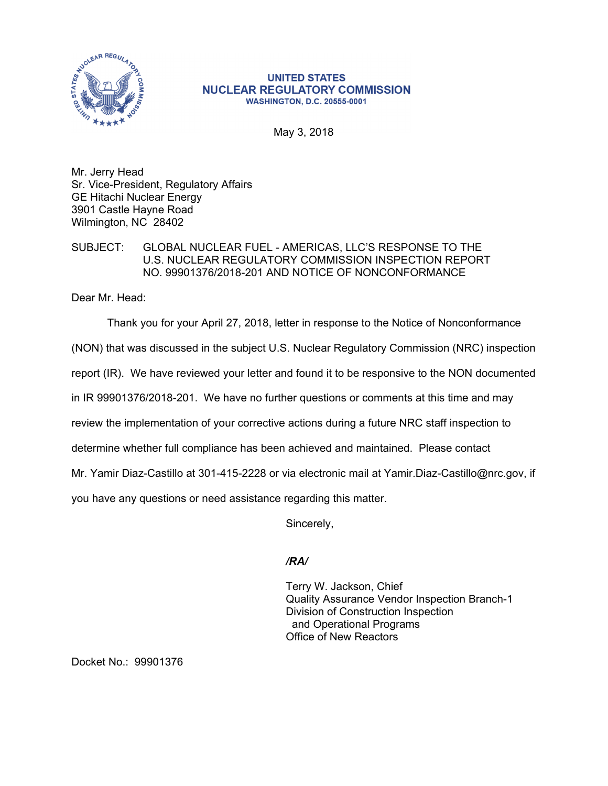

## **UNITED STATES NUCLEAR REGULATORY COMMISSION WASHINGTON, D.C. 20555-0001**

May 3, 2018

Mr. Jerry Head Sr. Vice-President, Regulatory Affairs GE Hitachi Nuclear Energy 3901 Castle Hayne Road Wilmington, NC 28402

## SUBJECT: GLOBAL NUCLEAR FUEL - AMERICAS, LLC'S RESPONSE TO THE U.S. NUCLEAR REGULATORY COMMISSION INSPECTION REPORT NO. 99901376/2018-201 AND NOTICE OF NONCONFORMANCE

Dear Mr. Head:

Thank you for your April 27, 2018, letter in response to the Notice of Nonconformance

(NON) that was discussed in the subject U.S. Nuclear Regulatory Commission (NRC) inspection

report (IR). We have reviewed your letter and found it to be responsive to the NON documented

in IR 99901376/2018-201. We have no further questions or comments at this time and may

review the implementation of your corrective actions during a future NRC staff inspection to

determine whether full compliance has been achieved and maintained. Please contact

Mr. Yamir Diaz-Castillo at 301-415-2228 or via electronic mail at Yamir.Diaz-Castillo@nrc.gov, if

you have any questions or need assistance regarding this matter.

Sincerely,

## */RA/*

Terry W. Jackson, Chief Quality Assurance Vendor Inspection Branch-1 Division of Construction Inspection and Operational Programs Office of New Reactors

Docket No.: 99901376